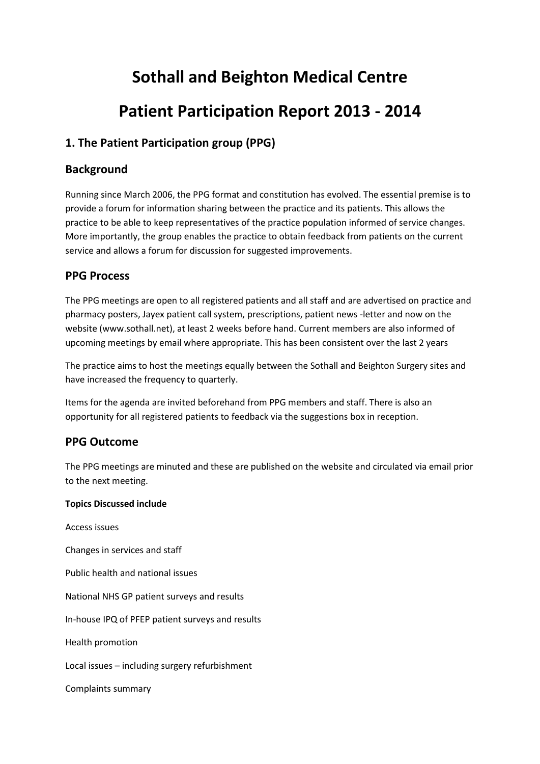# **Sothall and Beighton Medical Centre**

# **Patient Participation Report 2013 - 2014**

# **1. The Patient Participation group (PPG)**

# **Background**

Running since March 2006, the PPG format and constitution has evolved. The essential premise is to provide a forum for information sharing between the practice and its patients. This allows the practice to be able to keep representatives of the practice population informed of service changes. More importantly, the group enables the practice to obtain feedback from patients on the current service and allows a forum for discussion for suggested improvements.

# **PPG Process**

The PPG meetings are open to all registered patients and all staff and are advertised on practice and pharmacy posters, Jayex patient call system, prescriptions, patient news -letter and now on the website (www.sothall.net), at least 2 weeks before hand. Current members are also informed of upcoming meetings by email where appropriate. This has been consistent over the last 2 years

The practice aims to host the meetings equally between the Sothall and Beighton Surgery sites and have increased the frequency to quarterly.

Items for the agenda are invited beforehand from PPG members and staff. There is also an opportunity for all registered patients to feedback via the suggestions box in reception.

# **PPG Outcome**

The PPG meetings are minuted and these are published on the website and circulated via email prior to the next meeting.

# **Topics Discussed include**

Access issues Changes in services and staff Public health and national issues National NHS GP patient surveys and results In-house IPQ of PFEP patient surveys and results Health promotion Local issues – including surgery refurbishment Complaints summary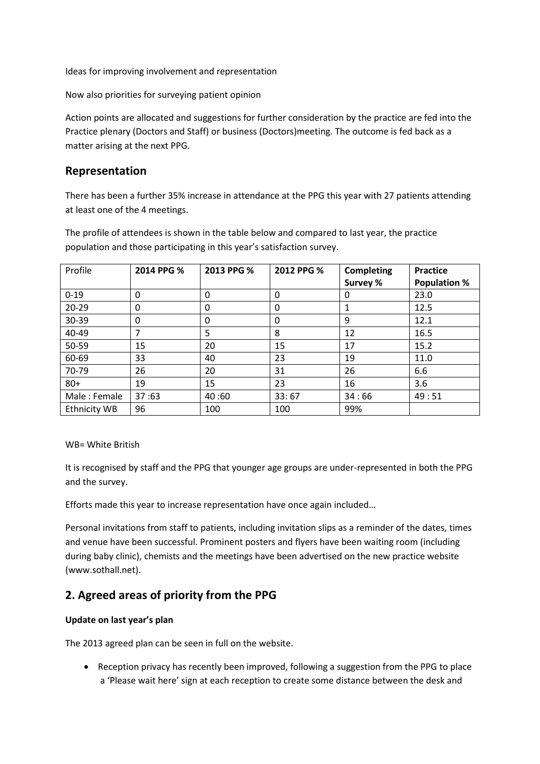Ideas for improving involvement and representation

Now also priorities for surveying patient opinion

Action points are allocated and suggestions for further consideration by the practice are fed into the Practice plenary (Doctors and Staff) or business (Doctors)meeting. The outcome is fed back as a matter arising at the next PPG.

# **Representation**

There has been a further 35% increase in attendance at the PPG this year with 27 patients attending at least one of the 4 meetings.

The profile of attendees is shown in the table below and compared to last year, the practice population and those participating in this year's satisfaction survey.

| Profile             | 2014 PPG % | 2013 PPG % | 2012 PPG % | <b>Completing</b> | <b>Practice</b>     |
|---------------------|------------|------------|------------|-------------------|---------------------|
|                     |            |            |            | Survey %          | <b>Population %</b> |
| $0 - 19$            | 0          | 0          | 0          | 0                 | 23.0                |
| $20 - 29$           | 0          | 0          | 0          |                   | 12.5                |
| 30-39               | 0          | 0          | 0          | 9                 | 12.1                |
| 40-49               | 7          | 5          | 8          | 12                | 16.5                |
| 50-59               | 15         | 20         | 15         | 17                | 15.2                |
| 60-69               | 33         | 40         | 23         | 19                | 11.0                |
| 70-79               | 26         | 20         | 31         | 26                | 6.6                 |
| $80+$               | 19         | 15         | 23         | 16                | 3.6                 |
| Male: Female        | 37:63      | 40:60      | 33:67      | 34:66             | 49:51               |
| <b>Ethnicity WB</b> | 96         | 100        | 100        | 99%               |                     |

## WB= White British

It is recognised by staff and the PPG that younger age groups are under-represented in both the PPG and the survey.

Efforts made this year to increase representation have once again included…

Personal invitations from staff to patients, including invitation slips as a reminder of the dates, times and venue have been successful. Prominent posters and flyers have been waiting room (including during baby clinic), chemists and the meetings have been advertised on the new practice website (www.sothall.net).

# **2. Agreed areas of priority from the PPG**

# **Update on last year's plan**

The 2013 agreed plan can be seen in full on the website.

 Reception privacy has recently been improved, following a suggestion from the PPG to place a 'Please wait here' sign at each reception to create some distance between the desk and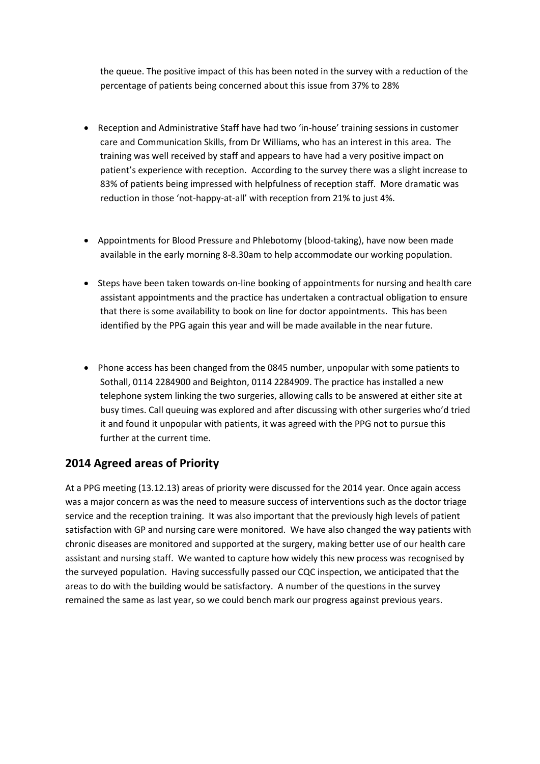the queue. The positive impact of this has been noted in the survey with a reduction of the percentage of patients being concerned about this issue from 37% to 28%

- Reception and Administrative Staff have had two 'in-house' training sessions in customer care and Communication Skills, from Dr Williams, who has an interest in this area. The training was well received by staff and appears to have had a very positive impact on patient's experience with reception. According to the survey there was a slight increase to 83% of patients being impressed with helpfulness of reception staff. More dramatic was reduction in those 'not-happy-at-all' with reception from 21% to just 4%.
- Appointments for Blood Pressure and Phlebotomy (blood-taking), have now been made available in the early morning 8-8.30am to help accommodate our working population.
- Steps have been taken towards on-line booking of appointments for nursing and health care assistant appointments and the practice has undertaken a contractual obligation to ensure that there is some availability to book on line for doctor appointments. This has been identified by the PPG again this year and will be made available in the near future.
- Phone access has been changed from the 0845 number, unpopular with some patients to Sothall, 0114 2284900 and Beighton, 0114 2284909. The practice has installed a new telephone system linking the two surgeries, allowing calls to be answered at either site at busy times. Call queuing was explored and after discussing with other surgeries who'd tried it and found it unpopular with patients, it was agreed with the PPG not to pursue this further at the current time.

# **2014 Agreed areas of Priority**

At a PPG meeting (13.12.13) areas of priority were discussed for the 2014 year. Once again access was a major concern as was the need to measure success of interventions such as the doctor triage service and the reception training. It was also important that the previously high levels of patient satisfaction with GP and nursing care were monitored. We have also changed the way patients with chronic diseases are monitored and supported at the surgery, making better use of our health care assistant and nursing staff. We wanted to capture how widely this new process was recognised by the surveyed population. Having successfully passed our CQC inspection, we anticipated that the areas to do with the building would be satisfactory. A number of the questions in the survey remained the same as last year, so we could bench mark our progress against previous years.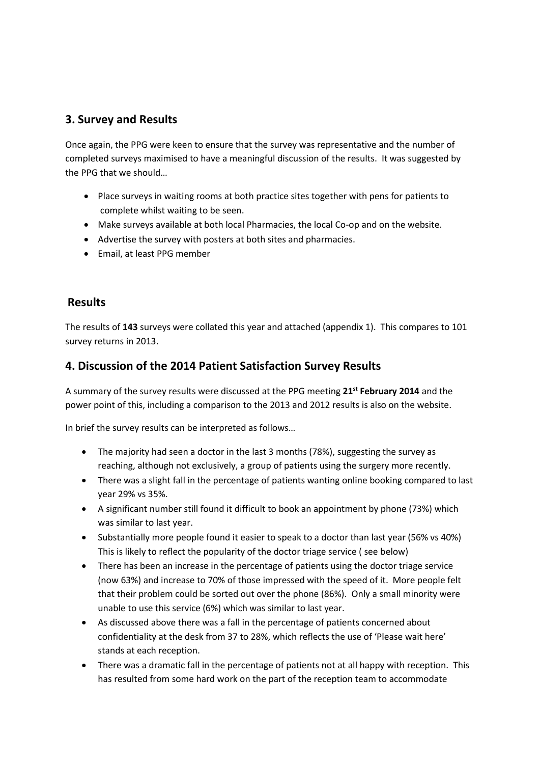# **3. Survey and Results**

Once again, the PPG were keen to ensure that the survey was representative and the number of completed surveys maximised to have a meaningful discussion of the results. It was suggested by the PPG that we should…

- Place surveys in waiting rooms at both practice sites together with pens for patients to complete whilst waiting to be seen.
- Make surveys available at both local Pharmacies, the local Co-op and on the website.
- Advertise the survey with posters at both sites and pharmacies.
- Email, at least PPG member

# **Results**

The results of **143** surveys were collated this year and attached (appendix 1). This compares to 101 survey returns in 2013.

# **4. Discussion of the 2014 Patient Satisfaction Survey Results**

A summary of the survey results were discussed at the PPG meeting **21st February 2014** and the power point of this, including a comparison to the 2013 and 2012 results is also on the website.

In brief the survey results can be interpreted as follows…

- The majority had seen a doctor in the last 3 months (78%), suggesting the survey as reaching, although not exclusively, a group of patients using the surgery more recently.
- There was a slight fall in the percentage of patients wanting online booking compared to last year 29% vs 35%.
- A significant number still found it difficult to book an appointment by phone (73%) which was similar to last year.
- Substantially more people found it easier to speak to a doctor than last year (56% vs 40%) This is likely to reflect the popularity of the doctor triage service ( see below)
- There has been an increase in the percentage of patients using the doctor triage service (now 63%) and increase to 70% of those impressed with the speed of it. More people felt that their problem could be sorted out over the phone (86%). Only a small minority were unable to use this service (6%) which was similar to last year.
- As discussed above there was a fall in the percentage of patients concerned about confidentiality at the desk from 37 to 28%, which reflects the use of 'Please wait here' stands at each reception.
- There was a dramatic fall in the percentage of patients not at all happy with reception. This has resulted from some hard work on the part of the reception team to accommodate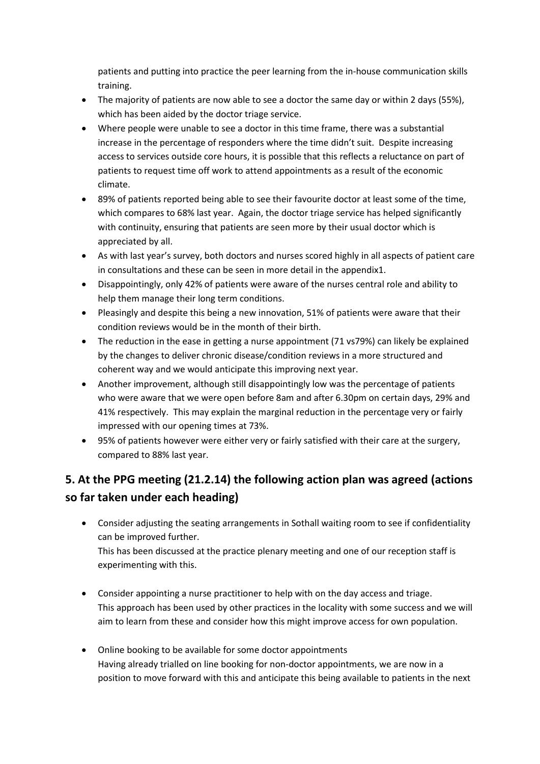patients and putting into practice the peer learning from the in-house communication skills training.

- The majority of patients are now able to see a doctor the same day or within 2 days (55%), which has been aided by the doctor triage service.
- Where people were unable to see a doctor in this time frame, there was a substantial increase in the percentage of responders where the time didn't suit. Despite increasing access to services outside core hours, it is possible that this reflects a reluctance on part of patients to request time off work to attend appointments as a result of the economic climate.
- 89% of patients reported being able to see their favourite doctor at least some of the time, which compares to 68% last year. Again, the doctor triage service has helped significantly with continuity, ensuring that patients are seen more by their usual doctor which is appreciated by all.
- As with last year's survey, both doctors and nurses scored highly in all aspects of patient care in consultations and these can be seen in more detail in the appendix1.
- Disappointingly, only 42% of patients were aware of the nurses central role and ability to help them manage their long term conditions.
- Pleasingly and despite this being a new innovation, 51% of patients were aware that their condition reviews would be in the month of their birth.
- The reduction in the ease in getting a nurse appointment (71 vs79%) can likely be explained by the changes to deliver chronic disease/condition reviews in a more structured and coherent way and we would anticipate this improving next year.
- Another improvement, although still disappointingly low was the percentage of patients who were aware that we were open before 8am and after 6.30pm on certain days, 29% and 41% respectively. This may explain the marginal reduction in the percentage very or fairly impressed with our opening times at 73%.
- 95% of patients however were either very or fairly satisfied with their care at the surgery, compared to 88% last year.

# **5. At the PPG meeting (21.2.14) the following action plan was agreed (actions so far taken under each heading)**

- Consider adjusting the seating arrangements in Sothall waiting room to see if confidentiality can be improved further. This has been discussed at the practice plenary meeting and one of our reception staff is experimenting with this.
- Consider appointing a nurse practitioner to help with on the day access and triage. This approach has been used by other practices in the locality with some success and we will aim to learn from these and consider how this might improve access for own population.
- Online booking to be available for some doctor appointments Having already trialled on line booking for non-doctor appointments, we are now in a position to move forward with this and anticipate this being available to patients in the next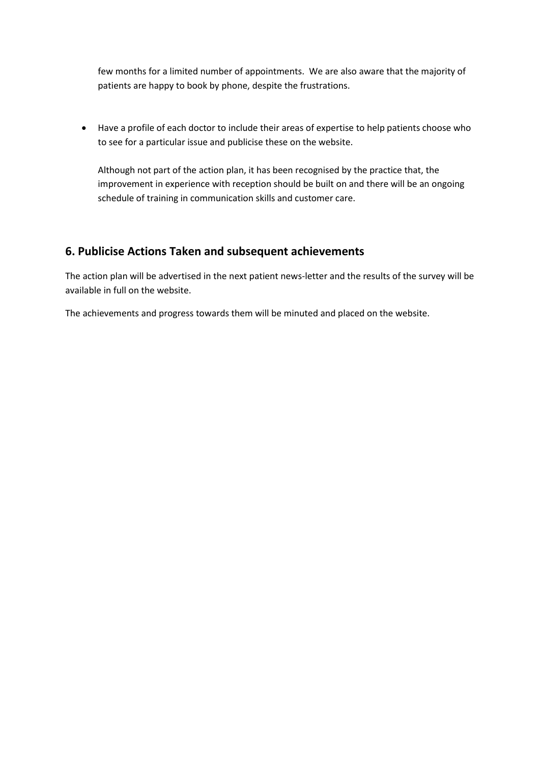few months for a limited number of appointments. We are also aware that the majority of patients are happy to book by phone, despite the frustrations.

 Have a profile of each doctor to include their areas of expertise to help patients choose who to see for a particular issue and publicise these on the website.

Although not part of the action plan, it has been recognised by the practice that, the improvement in experience with reception should be built on and there will be an ongoing schedule of training in communication skills and customer care.

# **6. Publicise Actions Taken and subsequent achievements**

The action plan will be advertised in the next patient news-letter and the results of the survey will be available in full on the website.

The achievements and progress towards them will be minuted and placed on the website.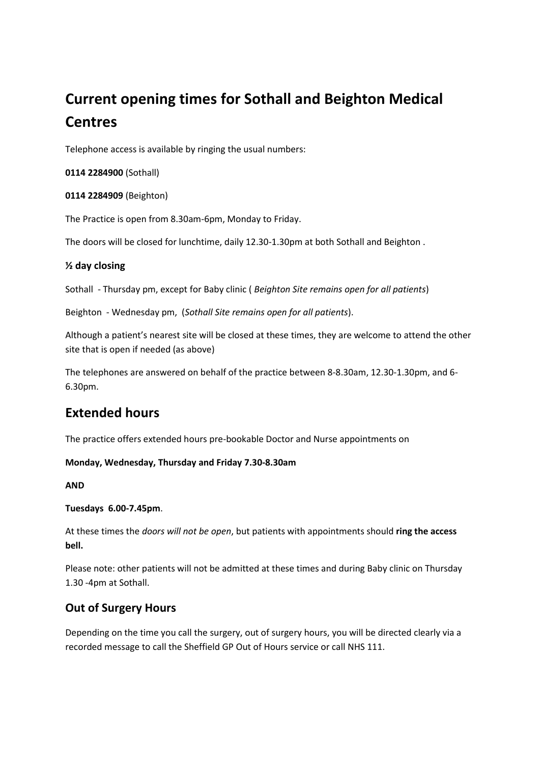# **Current opening times for Sothall and Beighton Medical Centres**

Telephone access is available by ringing the usual numbers:

**0114 2284900** (Sothall)

**0114 2284909** (Beighton)

The Practice is open from 8.30am-6pm, Monday to Friday.

The doors will be closed for lunchtime, daily 12.30-1.30pm at both Sothall and Beighton .

# **½ day closing**

Sothall - Thursday pm, except for Baby clinic ( *Beighton Site remains open for all patients*)

Beighton - Wednesday pm, (*Sothall Site remains open for all patients*).

Although a patient's nearest site will be closed at these times, they are welcome to attend the other site that is open if needed (as above)

The telephones are answered on behalf of the practice between 8-8.30am, 12.30-1.30pm, and 6- 6.30pm.

# **Extended hours**

The practice offers extended hours pre-bookable Doctor and Nurse appointments on

# **Monday, Wednesday, Thursday and Friday 7.30-8.30am**

**AND**

# **Tuesdays 6.00-7.45pm**.

At these times the *doors will not be open*, but patients with appointments should **ring the access bell.**

Please note: other patients will not be admitted at these times and during Baby clinic on Thursday 1.30 -4pm at Sothall.

# **Out of Surgery Hours**

Depending on the time you call the surgery, out of surgery hours, you will be directed clearly via a recorded message to call the Sheffield GP Out of Hours service or call NHS 111.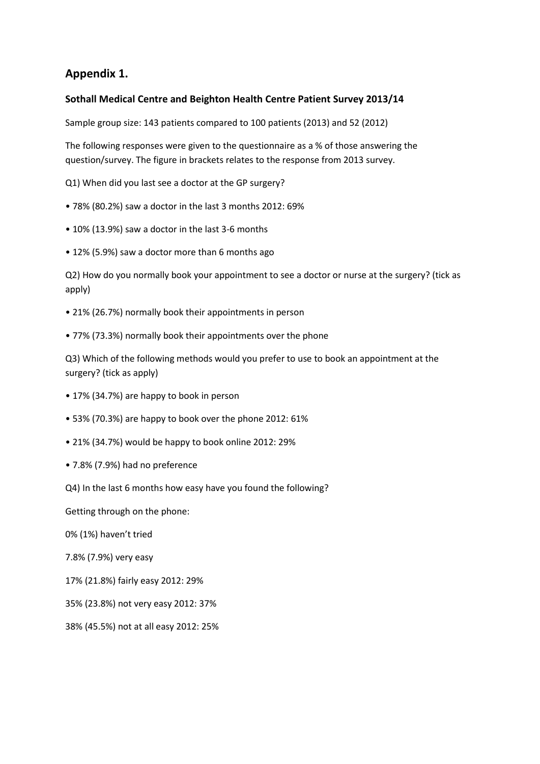# **Appendix 1.**

# **Sothall Medical Centre and Beighton Health Centre Patient Survey 2013/14**

Sample group size: 143 patients compared to 100 patients (2013) and 52 (2012)

The following responses were given to the questionnaire as a % of those answering the question/survey. The figure in brackets relates to the response from 2013 survey.

Q1) When did you last see a doctor at the GP surgery?

- 78% (80.2%) saw a doctor in the last 3 months 2012: 69%
- 10% (13.9%) saw a doctor in the last 3-6 months
- 12% (5.9%) saw a doctor more than 6 months ago

Q2) How do you normally book your appointment to see a doctor or nurse at the surgery? (tick as apply)

- 21% (26.7%) normally book their appointments in person
- 77% (73.3%) normally book their appointments over the phone

Q3) Which of the following methods would you prefer to use to book an appointment at the surgery? (tick as apply)

- 17% (34.7%) are happy to book in person
- 53% (70.3%) are happy to book over the phone 2012: 61%
- 21% (34.7%) would be happy to book online 2012: 29%
- 7.8% (7.9%) had no preference

Q4) In the last 6 months how easy have you found the following?

Getting through on the phone:

0% (1%) haven't tried

- 7.8% (7.9%) very easy
- 17% (21.8%) fairly easy 2012: 29%
- 35% (23.8%) not very easy 2012: 37%
- 38% (45.5%) not at all easy 2012: 25%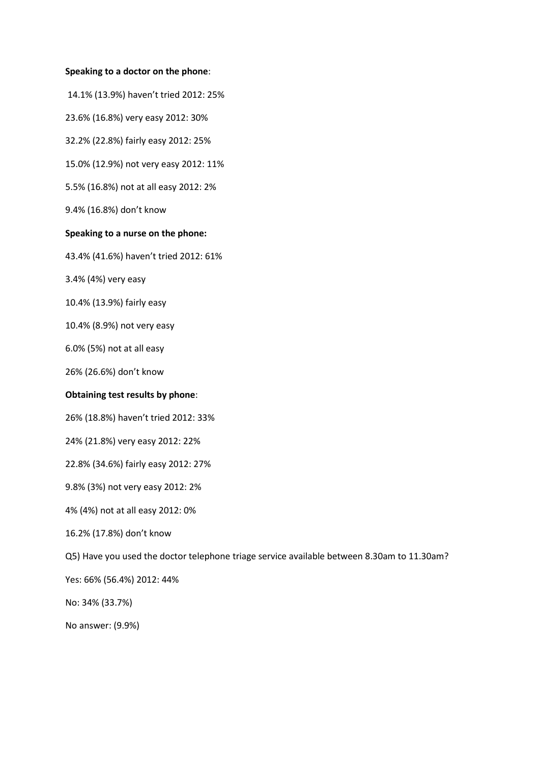#### **Speaking to a doctor on the phone**:

14.1% (13.9%) haven't tried 2012: 25%

23.6% (16.8%) very easy 2012: 30%

32.2% (22.8%) fairly easy 2012: 25%

15.0% (12.9%) not very easy 2012: 11%

5.5% (16.8%) not at all easy 2012: 2%

9.4% (16.8%) don't know

## **Speaking to a nurse on the phone:**

43.4% (41.6%) haven't tried 2012: 61%

3.4% (4%) very easy

10.4% (13.9%) fairly easy

10.4% (8.9%) not very easy

6.0% (5%) not at all easy

26% (26.6%) don't know

#### **Obtaining test results by phone**:

26% (18.8%) haven't tried 2012: 33%

24% (21.8%) very easy 2012: 22%

22.8% (34.6%) fairly easy 2012: 27%

9.8% (3%) not very easy 2012: 2%

4% (4%) not at all easy 2012: 0%

16.2% (17.8%) don't know

Q5) Have you used the doctor telephone triage service available between 8.30am to 11.30am?

Yes: 66% (56.4%) 2012: 44%

No: 34% (33.7%)

No answer: (9.9%)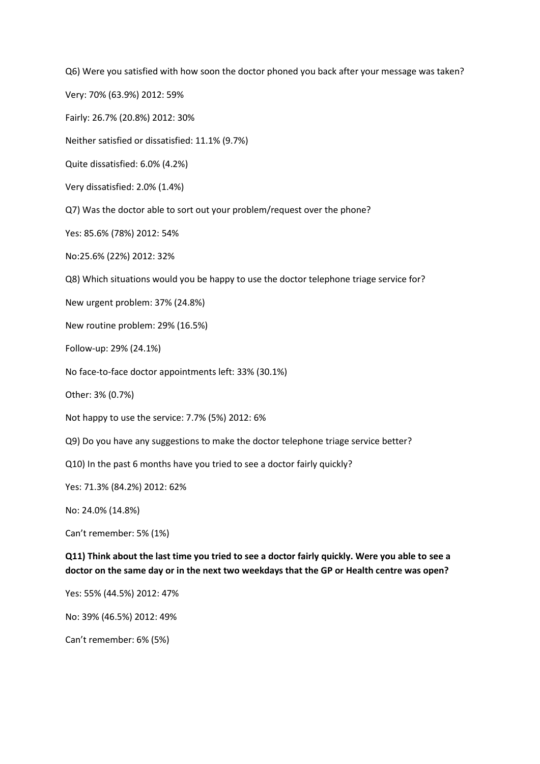Q6) Were you satisfied with how soon the doctor phoned you back after your message was taken?

Very: 70% (63.9%) 2012: 59%

Fairly: 26.7% (20.8%) 2012: 30%

Neither satisfied or dissatisfied: 11.1% (9.7%)

Quite dissatisfied: 6.0% (4.2%)

Very dissatisfied: 2.0% (1.4%)

Q7) Was the doctor able to sort out your problem/request over the phone?

Yes: 85.6% (78%) 2012: 54%

No:25.6% (22%) 2012: 32%

Q8) Which situations would you be happy to use the doctor telephone triage service for?

New urgent problem: 37% (24.8%)

New routine problem: 29% (16.5%)

Follow-up: 29% (24.1%)

No face-to-face doctor appointments left: 33% (30.1%)

Other: 3% (0.7%)

Not happy to use the service: 7.7% (5%) 2012: 6%

Q9) Do you have any suggestions to make the doctor telephone triage service better?

Q10) In the past 6 months have you tried to see a doctor fairly quickly?

Yes: 71.3% (84.2%) 2012: 62%

No: 24.0% (14.8%)

Can't remember: 5% (1%)

**Q11) Think about the last time you tried to see a doctor fairly quickly. Were you able to see a doctor on the same day or in the next two weekdays that the GP or Health centre was open?**

Yes: 55% (44.5%) 2012: 47%

No: 39% (46.5%) 2012: 49%

Can't remember: 6% (5%)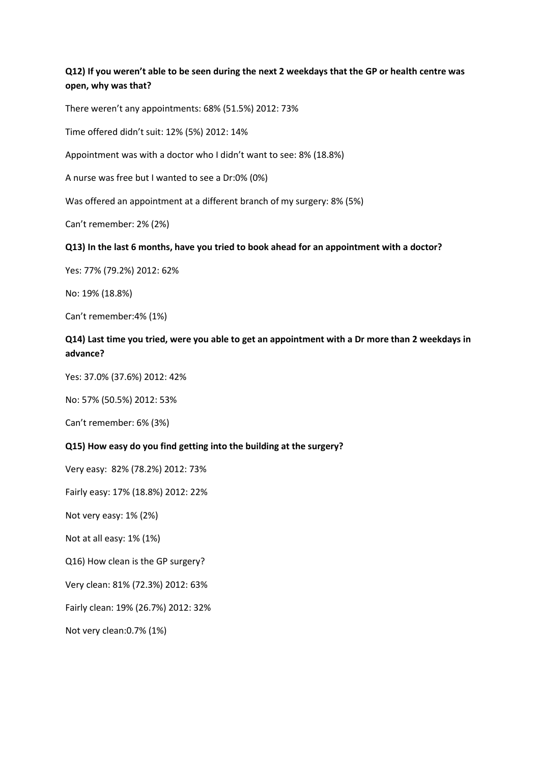**Q12) If you weren't able to be seen during the next 2 weekdays that the GP or health centre was open, why was that?**

There weren't any appointments: 68% (51.5%) 2012: 73%

Time offered didn't suit: 12% (5%) 2012: 14%

Appointment was with a doctor who I didn't want to see: 8% (18.8%)

A nurse was free but I wanted to see a Dr:0% (0%)

Was offered an appointment at a different branch of my surgery: 8% (5%)

Can't remember: 2% (2%)

#### **Q13) In the last 6 months, have you tried to book ahead for an appointment with a doctor?**

Yes: 77% (79.2%) 2012: 62%

No: 19% (18.8%)

Can't remember:4% (1%)

# **Q14) Last time you tried, were you able to get an appointment with a Dr more than 2 weekdays in advance?**

Yes: 37.0% (37.6%) 2012: 42%

No: 57% (50.5%) 2012: 53%

Can't remember: 6% (3%)

#### **Q15) How easy do you find getting into the building at the surgery?**

Very easy: 82% (78.2%) 2012: 73%

Fairly easy: 17% (18.8%) 2012: 22%

Not very easy: 1% (2%)

Not at all easy: 1% (1%)

Q16) How clean is the GP surgery?

Very clean: 81% (72.3%) 2012: 63%

Fairly clean: 19% (26.7%) 2012: 32%

Not very clean:0.7% (1%)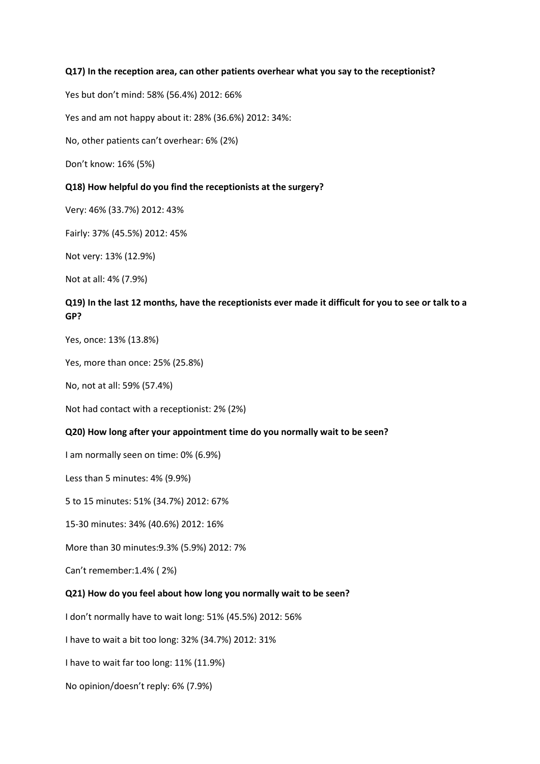#### **Q17) In the reception area, can other patients overhear what you say to the receptionist?**

Yes but don't mind: 58% (56.4%) 2012: 66%

Yes and am not happy about it: 28% (36.6%) 2012: 34%:

No, other patients can't overhear: 6% (2%)

Don't know: 16% (5%)

#### **Q18) How helpful do you find the receptionists at the surgery?**

Very: 46% (33.7%) 2012: 43%

Fairly: 37% (45.5%) 2012: 45%

Not very: 13% (12.9%)

Not at all: 4% (7.9%)

# **Q19) In the last 12 months, have the receptionists ever made it difficult for you to see or talk to a GP?**

Yes, once: 13% (13.8%)

Yes, more than once: 25% (25.8%)

No, not at all: 59% (57.4%)

Not had contact with a receptionist: 2% (2%)

#### **Q20) How long after your appointment time do you normally wait to be seen?**

I am normally seen on time: 0% (6.9%)

Less than 5 minutes: 4% (9.9%)

5 to 15 minutes: 51% (34.7%) 2012: 67%

15-30 minutes: 34% (40.6%) 2012: 16%

More than 30 minutes:9.3% (5.9%) 2012: 7%

Can't remember:1.4% ( 2%)

### **Q21) How do you feel about how long you normally wait to be seen?**

I don't normally have to wait long: 51% (45.5%) 2012: 56%

I have to wait a bit too long: 32% (34.7%) 2012: 31%

I have to wait far too long: 11% (11.9%)

No opinion/doesn't reply: 6% (7.9%)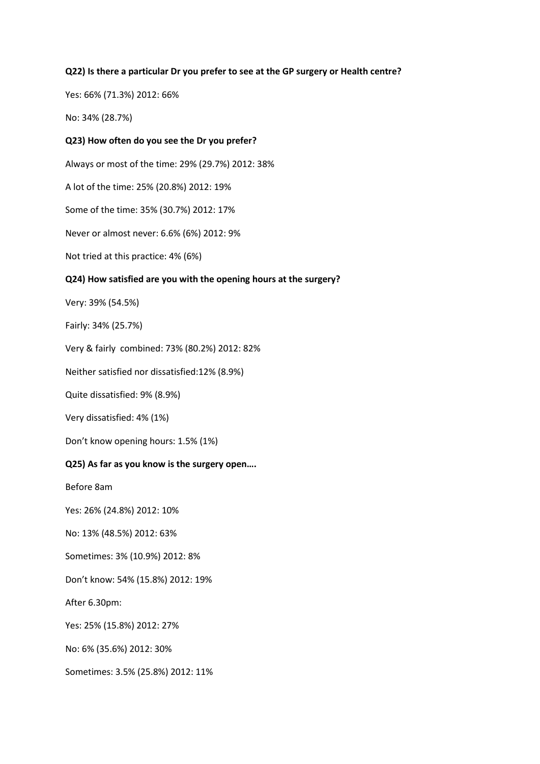## **Q22) Is there a particular Dr you prefer to see at the GP surgery or Health centre?**

Yes: 66% (71.3%) 2012: 66%

No: 34% (28.7%)

## **Q23) How often do you see the Dr you prefer?**

Always or most of the time: 29% (29.7%) 2012: 38%

A lot of the time: 25% (20.8%) 2012: 19%

Some of the time: 35% (30.7%) 2012: 17%

Never or almost never: 6.6% (6%) 2012: 9%

Not tried at this practice: 4% (6%)

## **Q24) How satisfied are you with the opening hours at the surgery?**

Very: 39% (54.5%)

Fairly: 34% (25.7%)

Very & fairly combined: 73% (80.2%) 2012: 82%

Neither satisfied nor dissatisfied:12% (8.9%)

Quite dissatisfied: 9% (8.9%)

Very dissatisfied: 4% (1%)

Don't know opening hours: 1.5% (1%)

## **Q25) As far as you know is the surgery open….**

Before 8am

Yes: 26% (24.8%) 2012: 10%

No: 13% (48.5%) 2012: 63%

Sometimes: 3% (10.9%) 2012: 8%

Don't know: 54% (15.8%) 2012: 19%

After 6.30pm:

Yes: 25% (15.8%) 2012: 27%

No: 6% (35.6%) 2012: 30%

Sometimes: 3.5% (25.8%) 2012: 11%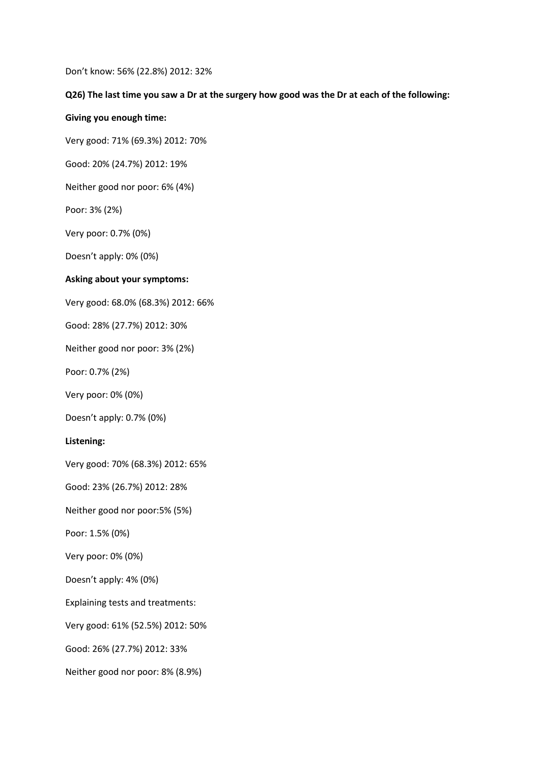Don't know: 56% (22.8%) 2012: 32%

#### **Q26) The last time you saw a Dr at the surgery how good was the Dr at each of the following:**

#### **Giving you enough time:**

Very good: 71% (69.3%) 2012: 70%

Good: 20% (24.7%) 2012: 19%

Neither good nor poor: 6% (4%)

Poor: 3% (2%)

Very poor: 0.7% (0%)

Doesn't apply: 0% (0%)

#### **Asking about your symptoms:**

Very good: 68.0% (68.3%) 2012: 66%

Good: 28% (27.7%) 2012: 30%

Neither good nor poor: 3% (2%)

Poor: 0.7% (2%)

Very poor: 0% (0%)

Doesn't apply: 0.7% (0%)

#### **Listening:**

Very good: 70% (68.3%) 2012: 65%

Good: 23% (26.7%) 2012: 28%

Neither good nor poor:5% (5%)

Poor: 1.5% (0%)

Very poor: 0% (0%)

Doesn't apply: 4% (0%)

Explaining tests and treatments:

Very good: 61% (52.5%) 2012: 50%

Good: 26% (27.7%) 2012: 33%

Neither good nor poor: 8% (8.9%)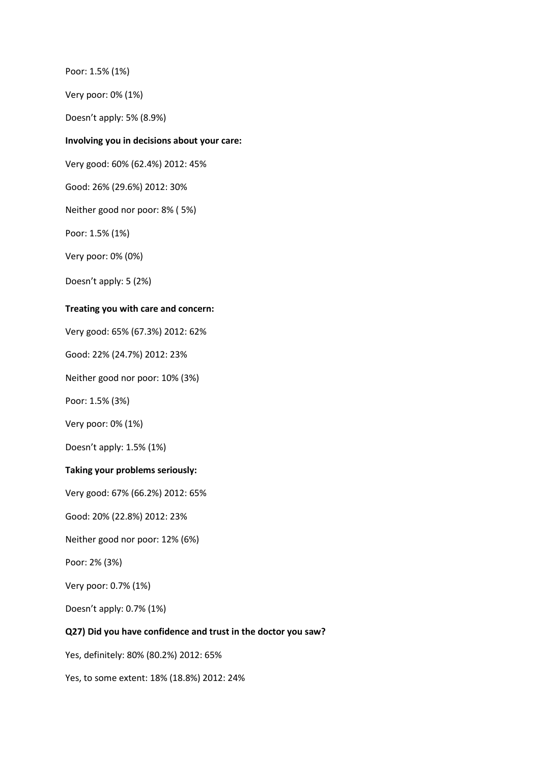Poor: 1.5% (1%)

Very poor: 0% (1%)

Doesn't apply: 5% (8.9%)

#### **Involving you in decisions about your care:**

Very good: 60% (62.4%) 2012: 45%

Good: 26% (29.6%) 2012: 30%

Neither good nor poor: 8% ( 5%)

Poor: 1.5% (1%)

Very poor: 0% (0%)

Doesn't apply: 5 (2%)

#### **Treating you with care and concern:**

Very good: 65% (67.3%) 2012: 62%

Good: 22% (24.7%) 2012: 23%

Neither good nor poor: 10% (3%)

Poor: 1.5% (3%)

Very poor: 0% (1%)

Doesn't apply: 1.5% (1%)

#### **Taking your problems seriously:**

Very good: 67% (66.2%) 2012: 65%

Good: 20% (22.8%) 2012: 23%

Neither good nor poor: 12% (6%)

Poor: 2% (3%)

Very poor: 0.7% (1%)

Doesn't apply: 0.7% (1%)

#### **Q27) Did you have confidence and trust in the doctor you saw?**

Yes, definitely: 80% (80.2%) 2012: 65%

Yes, to some extent: 18% (18.8%) 2012: 24%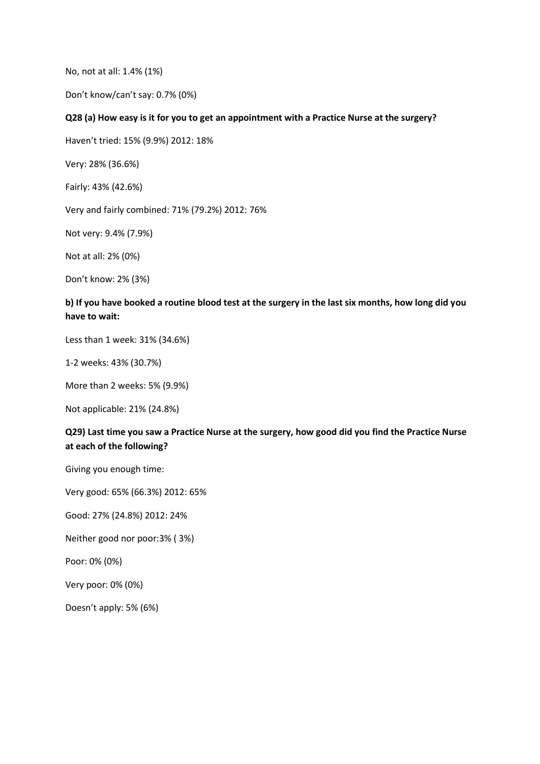No, not at all: 1.4% (1%)

Don't know/can't say: 0.7% (0%)

## **Q28 (a) How easy is it for you to get an appointment with a Practice Nurse at the surgery?**

Haven't tried: 15% (9.9%) 2012: 18%

Very: 28% (36.6%)

Fairly: 43% (42.6%)

Very and fairly combined: 71% (79.2%) 2012: 76%

Not very: 9.4% (7.9%)

Not at all: 2% (0%)

Don't know: 2% (3%)

# **b) If you have booked a routine blood test at the surgery in the last six months, how long did you have to wait:**

Less than 1 week: 31% (34.6%)

1-2 weeks: 43% (30.7%)

More than 2 weeks: 5% (9.9%)

Not applicable: 21% (24.8%)

# **Q29) Last time you saw a Practice Nurse at the surgery, how good did you find the Practice Nurse at each of the following?**

Giving you enough time:

Very good: 65% (66.3%) 2012: 65%

Good: 27% (24.8%) 2012: 24%

Neither good nor poor:3% ( 3%)

Poor: 0% (0%)

Very poor: 0% (0%)

Doesn't apply: 5% (6%)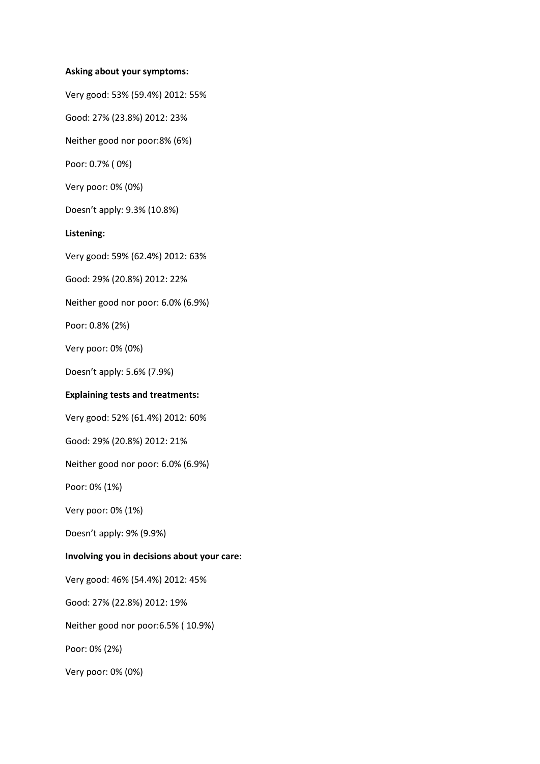#### **Asking about your symptoms:**

Very good: 53% (59.4%) 2012: 55%

Good: 27% (23.8%) 2012: 23%

Neither good nor poor:8% (6%)

Poor: 0.7% ( 0%)

Very poor: 0% (0%)

Doesn't apply: 9.3% (10.8%)

## **Listening:**

Very good: 59% (62.4%) 2012: 63%

Good: 29% (20.8%) 2012: 22%

Neither good nor poor: 6.0% (6.9%)

Poor: 0.8% (2%)

Very poor: 0% (0%)

Doesn't apply: 5.6% (7.9%)

## **Explaining tests and treatments:**

Very good: 52% (61.4%) 2012: 60%

Good: 29% (20.8%) 2012: 21%

Neither good nor poor: 6.0% (6.9%)

Poor: 0% (1%)

Very poor: 0% (1%)

Doesn't apply: 9% (9.9%)

## **Involving you in decisions about your care:**

Very good: 46% (54.4%) 2012: 45%

Good: 27% (22.8%) 2012: 19%

Neither good nor poor:6.5% ( 10.9%)

Poor: 0% (2%)

Very poor: 0% (0%)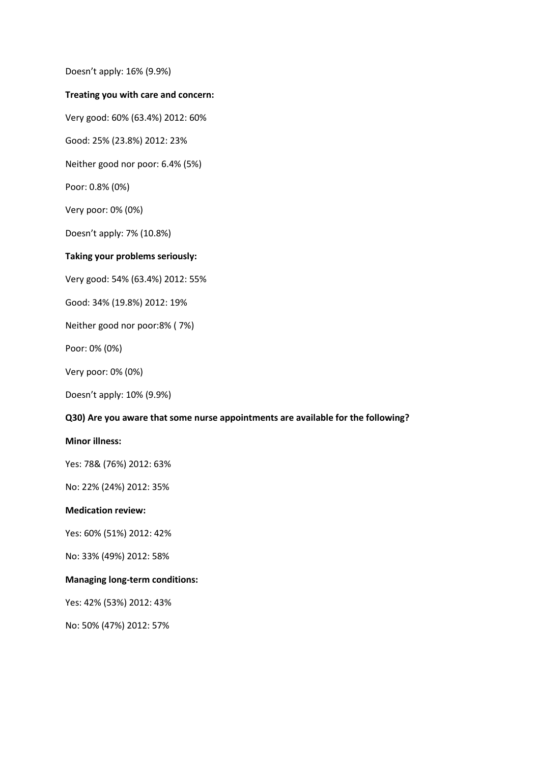Doesn't apply: 16% (9.9%)

#### **Treating you with care and concern:**

Very good: 60% (63.4%) 2012: 60%

Good: 25% (23.8%) 2012: 23%

Neither good nor poor: 6.4% (5%)

Poor: 0.8% (0%)

Very poor: 0% (0%)

Doesn't apply: 7% (10.8%)

## **Taking your problems seriously:**

Very good: 54% (63.4%) 2012: 55%

Good: 34% (19.8%) 2012: 19%

Neither good nor poor:8% ( 7%)

Poor: 0% (0%)

Very poor: 0% (0%)

Doesn't apply: 10% (9.9%)

#### **Q30) Are you aware that some nurse appointments are available for the following?**

#### **Minor illness:**

Yes: 78& (76%) 2012: 63%

No: 22% (24%) 2012: 35%

#### **Medication review:**

Yes: 60% (51%) 2012: 42%

No: 33% (49%) 2012: 58%

#### **Managing long-term conditions:**

Yes: 42% (53%) 2012: 43%

No: 50% (47%) 2012: 57%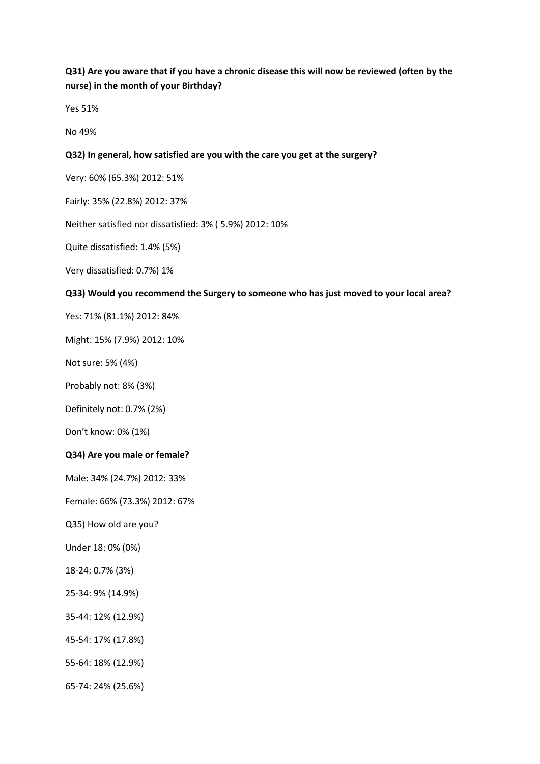**Q31) Are you aware that if you have a chronic disease this will now be reviewed (often by the nurse) in the month of your Birthday?**

Yes 51%

No 49%

### **Q32) In general, how satisfied are you with the care you get at the surgery?**

Very: 60% (65.3%) 2012: 51%

Fairly: 35% (22.8%) 2012: 37%

Neither satisfied nor dissatisfied: 3% ( 5.9%) 2012: 10%

Quite dissatisfied: 1.4% (5%)

Very dissatisfied: 0.7%) 1%

#### **Q33) Would you recommend the Surgery to someone who has just moved to your local area?**

Yes: 71% (81.1%) 2012: 84%

Might: 15% (7.9%) 2012: 10%

Not sure: 5% (4%)

Probably not: 8% (3%)

Definitely not: 0.7% (2%)

Don't know: 0% (1%)

#### **Q34) Are you male or female?**

Male: 34% (24.7%) 2012: 33%

Female: 66% (73.3%) 2012: 67%

Q35) How old are you?

Under 18: 0% (0%)

- 18-24: 0.7% (3%)
- 25-34: 9% (14.9%)
- 35-44: 12% (12.9%)
- 45-54: 17% (17.8%)
- 55-64: 18% (12.9%)
- 65-74: 24% (25.6%)